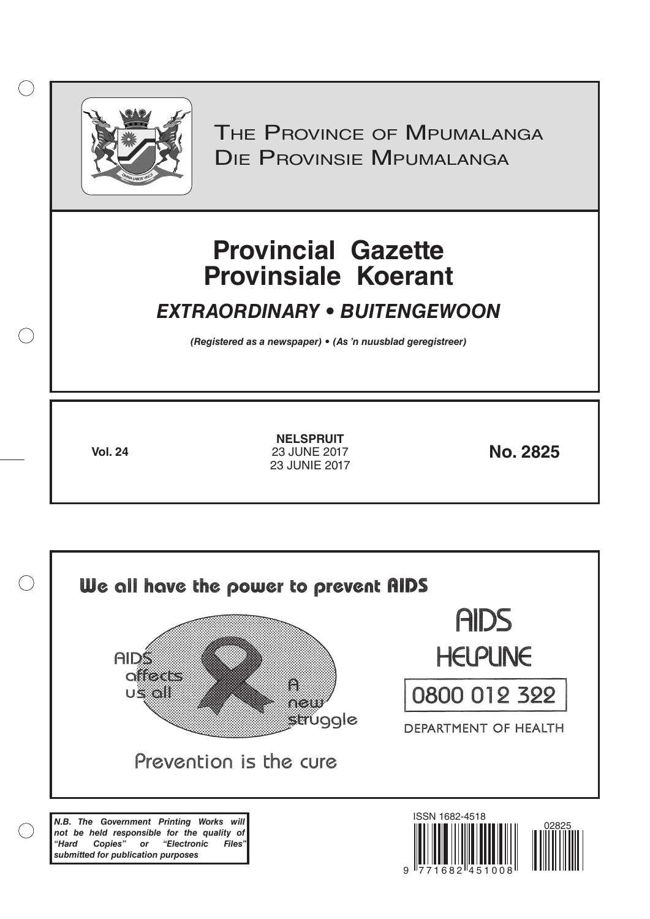

 $( )$ 

THE PROVINCE OF MPUMALANGA Die Provinsie Mpumalanga

# **Provincial Gazette Provinsiale Koerant**

# *EXTRAORDINARY • BUITENGEWOON*

*(Registered as a newspaper) • (As 'n nuusblad geregistreer)*

**Vol. 24 No. 2825** 23 JUNE 2017 **NELSPRUIT** 23 JUNIE 2017

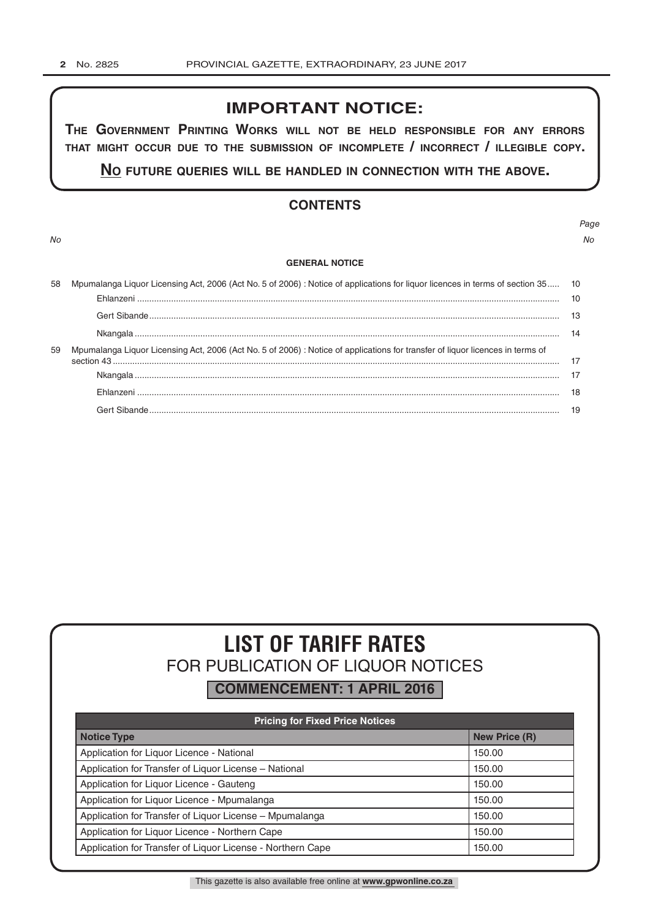# **IMPORTANT NOTICE:**

**The GovernmenT PrinTinG Works Will noT be held resPonsible for any errors ThaT miGhT occur due To The submission of incomPleTe / incorrecT / illeGible coPy.**

**no fuTure queries Will be handled in connecTion WiTh The above.**

# **CONTENTS**

*Page No No*

#### **GENERAL NOTICE**

| 58 | Mpumalanga Liquor Licensing Act, 2006 (Act No. 5 of 2006) : Notice of applications for liquor licences in terms of section 35 10 |  |  |  |  |
|----|----------------------------------------------------------------------------------------------------------------------------------|--|--|--|--|
|    |                                                                                                                                  |  |  |  |  |
|    |                                                                                                                                  |  |  |  |  |
|    |                                                                                                                                  |  |  |  |  |
| 59 | Mpumalanga Liquor Licensing Act, 2006 (Act No. 5 of 2006) : Notice of applications for transfer of liquor licences in terms of   |  |  |  |  |
|    |                                                                                                                                  |  |  |  |  |
|    |                                                                                                                                  |  |  |  |  |
|    |                                                                                                                                  |  |  |  |  |
|    |                                                                                                                                  |  |  |  |  |
|    |                                                                                                                                  |  |  |  |  |

# **LIST OF TARIFF RATES** FOR PUBLICATION OF LIQUOR NOTICES

**COMMENCEMENT: 1 APRIL 2016**

| <b>Pricing for Fixed Price Notices</b>                     |                      |  |  |  |
|------------------------------------------------------------|----------------------|--|--|--|
| <b>Notice Type</b>                                         | <b>New Price (R)</b> |  |  |  |
| Application for Liquor Licence - National                  | 150.00               |  |  |  |
| Application for Transfer of Liquor License - National      | 150.00               |  |  |  |
| Application for Liquor Licence - Gauteng                   | 150.00               |  |  |  |
| Application for Liguor Licence - Mpumalanga                | 150.00               |  |  |  |
| Application for Transfer of Liquor License - Mpumalanga    | 150.00               |  |  |  |
| Application for Liquor Licence - Northern Cape             | 150.00               |  |  |  |
| Application for Transfer of Liquor License - Northern Cape | 150.00               |  |  |  |

This gazette is also available free online at **www.gpwonline.co.za**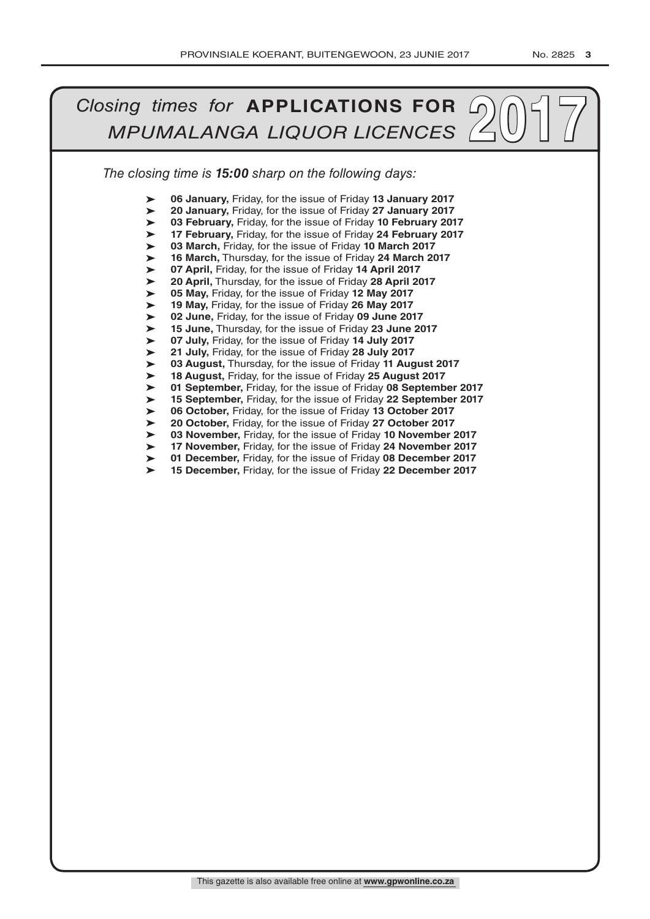#### *The closing time is 15:00 sharp on the following days: 2017**MPUMALANGA LIQUOR LICENCES* ➤ ➤ ➤ ➤ ➤ ➤ ➤ ➤ ➤ ➤ ➤ ➤ ➤ ➤ ➤ ➤ ➤ ➤ ➤ ➤ ➤ ➤ ➤ ➤ **06 January,** Friday, for the issue of Friday **13 January 2017 20 January,** Friday, for the issue of Friday **27 January 2017 03 February,** Friday, for the issue of Friday **10 February 2017 17 February,** Friday, for the issue of Friday **24 February 2017 03 March,** Friday, for the issue of Friday **10 March 2017 16 March,** Thursday, for the issue of Friday **24 March 2017 07 April,** Friday, for the issue of Friday **14 April 2017 20 April,** Thursday, for the issue of Friday **28 April 2017 05 May,** Friday, for the issue of Friday **12 May 2017 19 May,** Friday, for the issue of Friday **26 May 2017 02 June,** Friday, for the issue of Friday **09 June 2017 15 June,** Thursday, for the issue of Friday **23 June 2017 07 July,** Friday, for the issue of Friday **14 July 2017 21 July,** Friday, for the issue of Friday **28 July 2017 03 August,** Thursday, for the issue of Friday **11 August 2017 18 August,** Friday, for the issue of Friday **25 August 2017 01 September,** Friday, for the issue of Friday **08 September 2017 15 September,** Friday, for the issue of Friday **22 September 2017 06 October,** Friday, for the issue of Friday **13 October 2017 20 October,** Friday, for the issue of Friday **27 October 2017 03 November,** Friday, for the issue of Friday **10 November 2017 17 November,** Friday, for the issue of Friday **24 November 2017 01 December,** Friday, for the issue of Friday **08 December 2017 15 December,** Friday, for the issue of Friday **22 December 2017**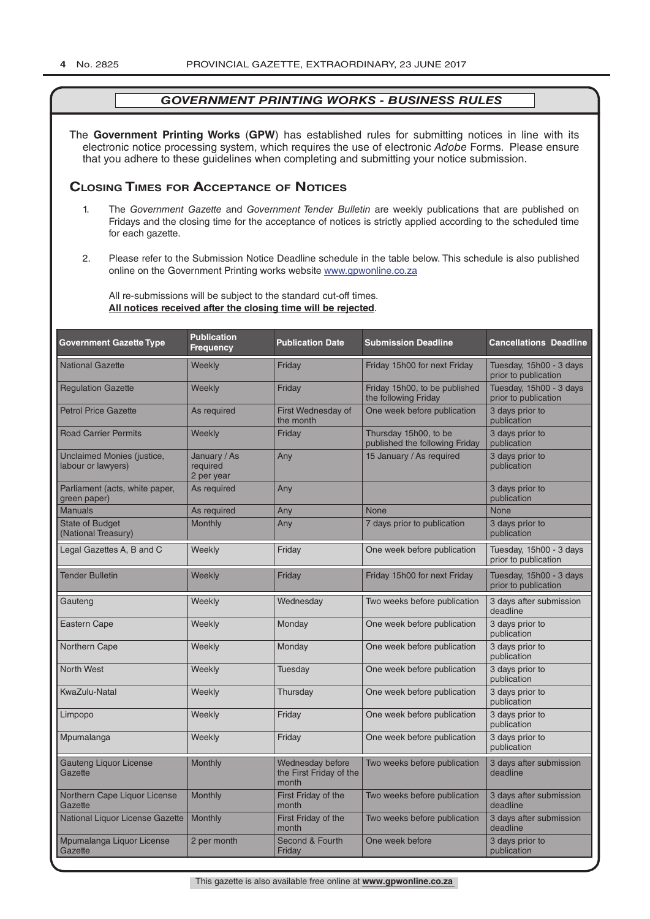The **Government Printing Works** (**GPW**) has established rules for submitting notices in line with its electronic notice processing system, which requires the use of electronic *Adobe* Forms. Please ensure that you adhere to these guidelines when completing and submitting your notice submission.

# **Closing Times for ACCepTAnCe of noTiCes**

- 1. The *Government Gazette* and *Government Tender Bulletin* are weekly publications that are published on Fridays and the closing time for the acceptance of notices is strictly applied according to the scheduled time for each gazette.
- 2. Please refer to the Submission Notice Deadline schedule in the table below. This schedule is also published online on the Government Printing works website www.gpwonline.co.za

All re-submissions will be subject to the standard cut-off times. **All notices received after the closing time will be rejected**.

| <b>Government Gazette Type</b>                   | <b>Publication</b><br><b>Frequency</b> | <b>Publication Date</b>                              | <b>Submission Deadline</b>                              | <b>Cancellations Deadline</b>                   |
|--------------------------------------------------|----------------------------------------|------------------------------------------------------|---------------------------------------------------------|-------------------------------------------------|
| <b>National Gazette</b>                          | Weekly                                 | Friday                                               | Friday 15h00 for next Friday                            | Tuesday, 15h00 - 3 days<br>prior to publication |
| <b>Regulation Gazette</b>                        | Weekly                                 | Friday                                               | Friday 15h00, to be published<br>the following Friday   | Tuesday, 15h00 - 3 days<br>prior to publication |
| <b>Petrol Price Gazette</b>                      | As required                            | First Wednesday of<br>the month                      | One week before publication                             | 3 days prior to<br>publication                  |
| <b>Road Carrier Permits</b>                      | Weekly                                 | Friday                                               | Thursday 15h00, to be<br>published the following Friday | 3 days prior to<br>publication                  |
| Unclaimed Monies (justice,<br>labour or lawyers) | January / As<br>required<br>2 per year | Any                                                  | 15 January / As required                                | 3 days prior to<br>publication                  |
| Parliament (acts, white paper,<br>green paper)   | As required                            | Any                                                  |                                                         | 3 days prior to<br>publication                  |
| <b>Manuals</b>                                   | As required                            | Any                                                  | <b>None</b>                                             | <b>None</b>                                     |
| <b>State of Budget</b><br>(National Treasury)    | <b>Monthly</b>                         | Any                                                  | 7 days prior to publication                             | 3 days prior to<br>publication                  |
| Legal Gazettes A, B and C                        | Weekly                                 | Friday                                               | One week before publication                             | Tuesday, 15h00 - 3 days<br>prior to publication |
| <b>Tender Bulletin</b>                           | Weekly                                 | Friday                                               | Friday 15h00 for next Friday                            | Tuesday, 15h00 - 3 days<br>prior to publication |
| Gauteng                                          | Weekly                                 | Wednesday                                            | Two weeks before publication                            | 3 days after submission<br>deadline             |
| <b>Eastern Cape</b>                              | Weekly                                 | Monday                                               | One week before publication                             | 3 days prior to<br>publication                  |
| Northern Cape                                    | Weekly                                 | Monday                                               | One week before publication                             | 3 days prior to<br>publication                  |
| <b>North West</b>                                | Weekly                                 | Tuesday                                              | One week before publication                             | 3 days prior to<br>publication                  |
| KwaZulu-Natal                                    | Weekly                                 | Thursday                                             | One week before publication                             | 3 days prior to<br>publication                  |
| Limpopo                                          | Weekly                                 | Friday                                               | One week before publication                             | 3 days prior to<br>publication                  |
| Mpumalanga                                       | Weekly                                 | Friday                                               | One week before publication                             | 3 days prior to<br>publication                  |
| <b>Gauteng Liquor License</b><br>Gazette         | Monthly                                | Wednesday before<br>the First Friday of the<br>month | Two weeks before publication                            | 3 days after submission<br>deadline             |
| Northern Cape Liquor License<br>Gazette          | Monthly                                | First Friday of the<br>month                         | Two weeks before publication                            | 3 days after submission<br>deadline             |
| National Liquor License Gazette                  | Monthly                                | First Friday of the<br>month                         | Two weeks before publication                            | 3 days after submission<br>deadline             |
| Mpumalanga Liquor License<br>Gazette             | 2 per month                            | Second & Fourth<br>Friday                            | One week before                                         | 3 days prior to<br>publication                  |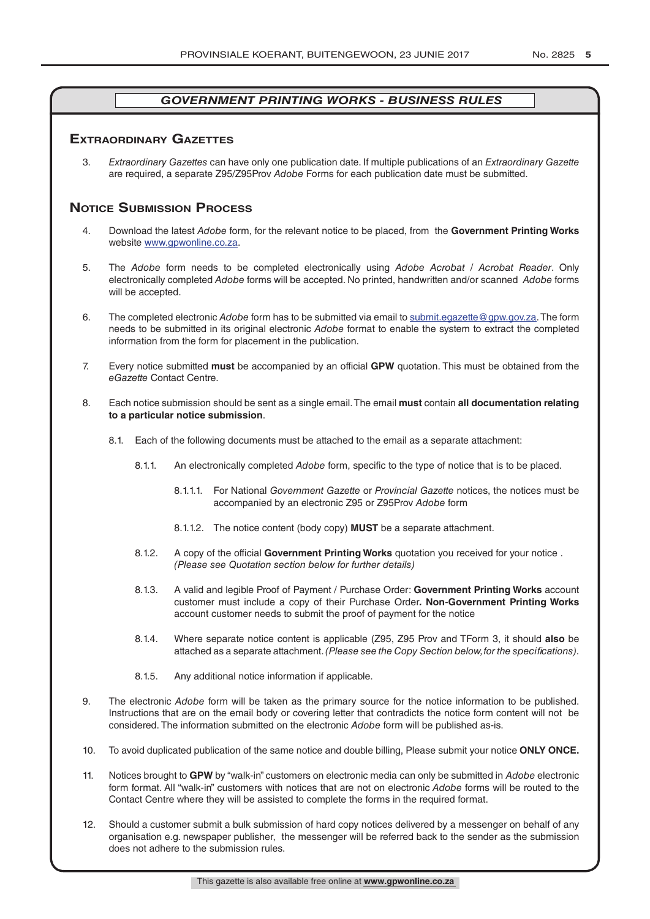# **exTrAordinAry gAzeTTes**

3. *Extraordinary Gazettes* can have only one publication date. If multiple publications of an *Extraordinary Gazette* are required, a separate Z95/Z95Prov *Adobe* Forms for each publication date must be submitted.

# **NOTICE SUBMISSION PROCESS**

- 4. Download the latest *Adobe* form, for the relevant notice to be placed, from the **Government Printing Works** website www.gpwonline.co.za.
- 5. The *Adobe* form needs to be completed electronically using *Adobe Acrobat* / *Acrobat Reader*. Only electronically completed *Adobe* forms will be accepted. No printed, handwritten and/or scanned *Adobe* forms will be accepted.
- 6. The completed electronic *Adobe* form has to be submitted via email to submit.egazette@gpw.gov.za. The form needs to be submitted in its original electronic *Adobe* format to enable the system to extract the completed information from the form for placement in the publication.
- 7. Every notice submitted **must** be accompanied by an official **GPW** quotation. This must be obtained from the *eGazette* Contact Centre.
- 8. Each notice submission should be sent as a single email. The email **must** contain **all documentation relating to a particular notice submission**.
	- 8.1. Each of the following documents must be attached to the email as a separate attachment:
		- 8.1.1. An electronically completed *Adobe* form, specific to the type of notice that is to be placed.
			- 8.1.1.1. For National *Government Gazette* or *Provincial Gazette* notices, the notices must be accompanied by an electronic Z95 or Z95Prov *Adobe* form
			- 8.1.1.2. The notice content (body copy) **MUST** be a separate attachment.
		- 8.1.2. A copy of the official **Government Printing Works** quotation you received for your notice . *(Please see Quotation section below for further details)*
		- 8.1.3. A valid and legible Proof of Payment / Purchase Order: **Government Printing Works** account customer must include a copy of their Purchase Order*.* **Non**-**Government Printing Works** account customer needs to submit the proof of payment for the notice
		- 8.1.4. Where separate notice content is applicable (Z95, Z95 Prov and TForm 3, it should **also** be attached as a separate attachment. *(Please see the Copy Section below, for the specifications)*.
		- 8.1.5. Any additional notice information if applicable.
- 9. The electronic *Adobe* form will be taken as the primary source for the notice information to be published. Instructions that are on the email body or covering letter that contradicts the notice form content will not be considered. The information submitted on the electronic *Adobe* form will be published as-is.
- 10. To avoid duplicated publication of the same notice and double billing, Please submit your notice **ONLY ONCE.**
- 11. Notices brought to **GPW** by "walk-in" customers on electronic media can only be submitted in *Adobe* electronic form format. All "walk-in" customers with notices that are not on electronic *Adobe* forms will be routed to the Contact Centre where they will be assisted to complete the forms in the required format.
- 12. Should a customer submit a bulk submission of hard copy notices delivered by a messenger on behalf of any organisation e.g. newspaper publisher, the messenger will be referred back to the sender as the submission does not adhere to the submission rules.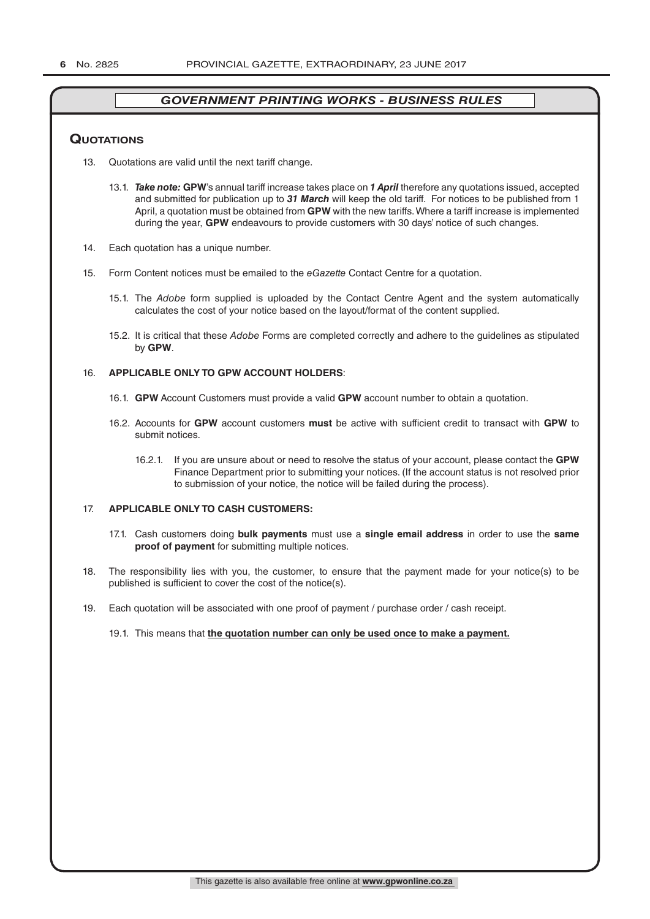#### **QuoTATions**

- 13. Quotations are valid until the next tariff change.
	- 13.1. *Take note:* **GPW**'s annual tariff increase takes place on *1 April* therefore any quotations issued, accepted and submitted for publication up to *31 March* will keep the old tariff. For notices to be published from 1 April, a quotation must be obtained from **GPW** with the new tariffs. Where a tariff increase is implemented during the year, **GPW** endeavours to provide customers with 30 days' notice of such changes.
- 14. Each quotation has a unique number.
- 15. Form Content notices must be emailed to the *eGazette* Contact Centre for a quotation.
	- 15.1. The *Adobe* form supplied is uploaded by the Contact Centre Agent and the system automatically calculates the cost of your notice based on the layout/format of the content supplied.
	- 15.2. It is critical that these *Adobe* Forms are completed correctly and adhere to the guidelines as stipulated by **GPW**.

#### 16. **APPLICABLE ONLY TO GPW ACCOUNT HOLDERS**:

- 16.1. **GPW** Account Customers must provide a valid **GPW** account number to obtain a quotation.
- 16.2. Accounts for **GPW** account customers **must** be active with sufficient credit to transact with **GPW** to submit notices.
	- 16.2.1. If you are unsure about or need to resolve the status of your account, please contact the **GPW** Finance Department prior to submitting your notices. (If the account status is not resolved prior to submission of your notice, the notice will be failed during the process).

#### 17. **APPLICABLE ONLY TO CASH CUSTOMERS:**

- 17.1. Cash customers doing **bulk payments** must use a **single email address** in order to use the **same proof of payment** for submitting multiple notices.
- 18. The responsibility lies with you, the customer, to ensure that the payment made for your notice(s) to be published is sufficient to cover the cost of the notice(s).
- 19. Each quotation will be associated with one proof of payment / purchase order / cash receipt.

#### 19.1. This means that **the quotation number can only be used once to make a payment.**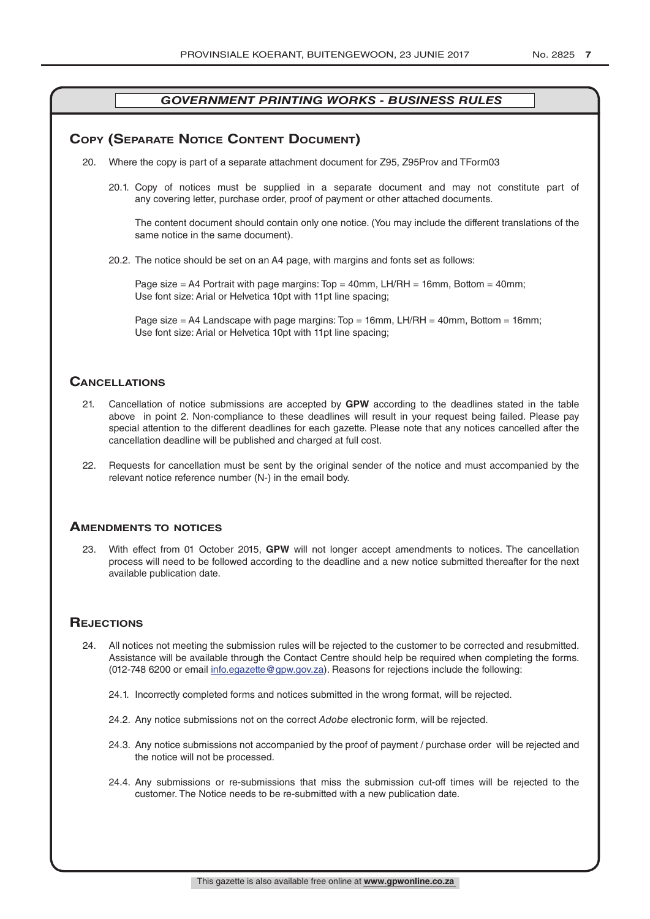# **COPY (SEPARATE NOTICE CONTENT DOCUMENT)**

- 20. Where the copy is part of a separate attachment document for Z95, Z95Prov and TForm03
	- 20.1. Copy of notices must be supplied in a separate document and may not constitute part of any covering letter, purchase order, proof of payment or other attached documents.

The content document should contain only one notice. (You may include the different translations of the same notice in the same document).

20.2. The notice should be set on an A4 page, with margins and fonts set as follows:

Page size  $=$  A4 Portrait with page margins: Top  $=$  40mm, LH/RH  $=$  16mm, Bottom  $=$  40mm; Use font size: Arial or Helvetica 10pt with 11pt line spacing;

Page size = A4 Landscape with page margins: Top = 16mm, LH/RH = 40mm, Bottom = 16mm; Use font size: Arial or Helvetica 10pt with 11pt line spacing;

### **CAnCellATions**

- 21. Cancellation of notice submissions are accepted by **GPW** according to the deadlines stated in the table above in point 2. Non-compliance to these deadlines will result in your request being failed. Please pay special attention to the different deadlines for each gazette. Please note that any notices cancelled after the cancellation deadline will be published and charged at full cost.
- 22. Requests for cancellation must be sent by the original sender of the notice and must accompanied by the relevant notice reference number (N-) in the email body.

#### **AmendmenTs To noTiCes**

23. With effect from 01 October 2015, **GPW** will not longer accept amendments to notices. The cancellation process will need to be followed according to the deadline and a new notice submitted thereafter for the next available publication date.

#### **REJECTIONS**

- 24. All notices not meeting the submission rules will be rejected to the customer to be corrected and resubmitted. Assistance will be available through the Contact Centre should help be required when completing the forms. (012-748 6200 or email info.egazette@gpw.gov.za). Reasons for rejections include the following:
	- 24.1. Incorrectly completed forms and notices submitted in the wrong format, will be rejected.
	- 24.2. Any notice submissions not on the correct *Adobe* electronic form, will be rejected.
	- 24.3. Any notice submissions not accompanied by the proof of payment / purchase order will be rejected and the notice will not be processed.
	- 24.4. Any submissions or re-submissions that miss the submission cut-off times will be rejected to the customer. The Notice needs to be re-submitted with a new publication date.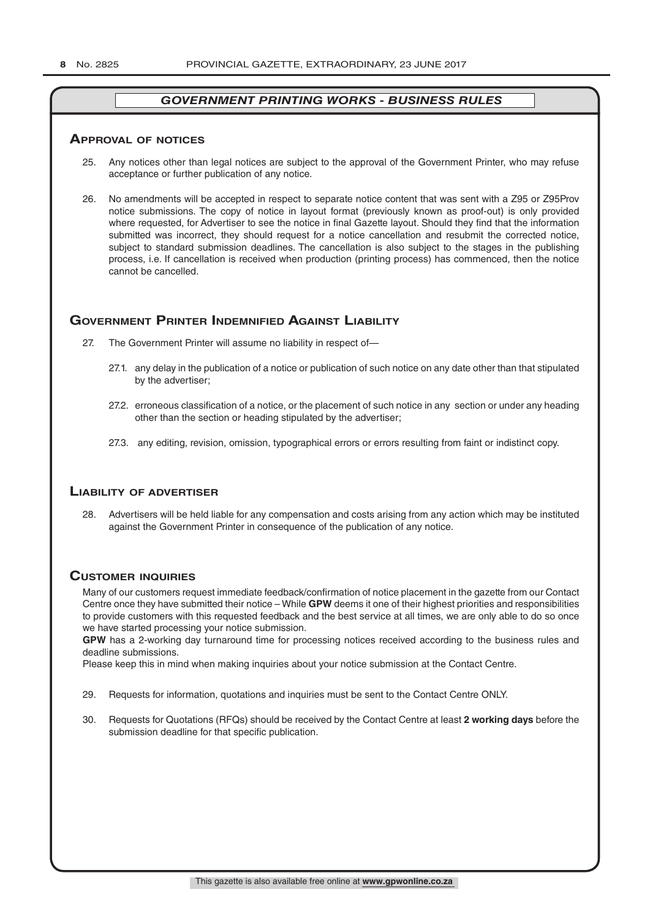#### **ApprovAl of noTiCes**

- 25. Any notices other than legal notices are subject to the approval of the Government Printer, who may refuse acceptance or further publication of any notice.
- 26. No amendments will be accepted in respect to separate notice content that was sent with a Z95 or Z95Prov notice submissions. The copy of notice in layout format (previously known as proof-out) is only provided where requested, for Advertiser to see the notice in final Gazette layout. Should they find that the information submitted was incorrect, they should request for a notice cancellation and resubmit the corrected notice, subject to standard submission deadlines. The cancellation is also subject to the stages in the publishing process, i.e. If cancellation is received when production (printing process) has commenced, then the notice cannot be cancelled.

# **governmenT prinTer indemnified AgAinsT liAbiliTy**

- 27. The Government Printer will assume no liability in respect of—
	- 27.1. any delay in the publication of a notice or publication of such notice on any date other than that stipulated by the advertiser;
	- 27.2. erroneous classification of a notice, or the placement of such notice in any section or under any heading other than the section or heading stipulated by the advertiser;
	- 27.3. any editing, revision, omission, typographical errors or errors resulting from faint or indistinct copy.

# **liAbiliTy of AdverTiser**

28. Advertisers will be held liable for any compensation and costs arising from any action which may be instituted against the Government Printer in consequence of the publication of any notice.

# **CusTomer inQuiries**

Many of our customers request immediate feedback/confirmation of notice placement in the gazette from our Contact Centre once they have submitted their notice – While **GPW** deems it one of their highest priorities and responsibilities to provide customers with this requested feedback and the best service at all times, we are only able to do so once we have started processing your notice submission.

**GPW** has a 2-working day turnaround time for processing notices received according to the business rules and deadline submissions.

Please keep this in mind when making inquiries about your notice submission at the Contact Centre.

- 29. Requests for information, quotations and inquiries must be sent to the Contact Centre ONLY.
- 30. Requests for Quotations (RFQs) should be received by the Contact Centre at least **2 working days** before the submission deadline for that specific publication.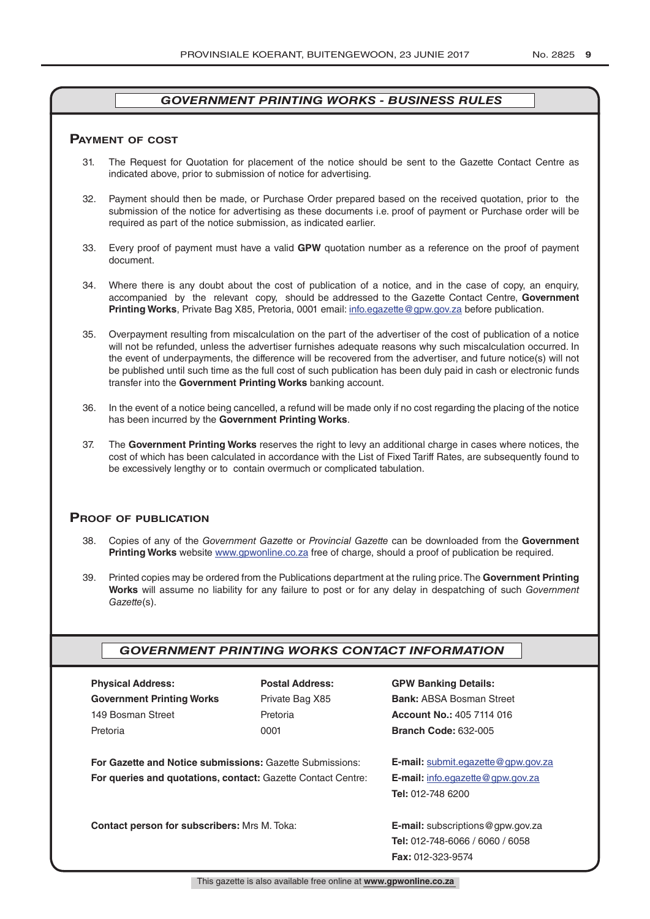#### **pAymenT of CosT**

- 31. The Request for Quotation for placement of the notice should be sent to the Gazette Contact Centre as indicated above, prior to submission of notice for advertising.
- 32. Payment should then be made, or Purchase Order prepared based on the received quotation, prior to the submission of the notice for advertising as these documents i.e. proof of payment or Purchase order will be required as part of the notice submission, as indicated earlier.
- 33. Every proof of payment must have a valid **GPW** quotation number as a reference on the proof of payment document.
- 34. Where there is any doubt about the cost of publication of a notice, and in the case of copy, an enquiry, accompanied by the relevant copy, should be addressed to the Gazette Contact Centre, **Government Printing Works**, Private Bag X85, Pretoria, 0001 email: info.egazette@gpw.gov.za before publication.
- 35. Overpayment resulting from miscalculation on the part of the advertiser of the cost of publication of a notice will not be refunded, unless the advertiser furnishes adequate reasons why such miscalculation occurred. In the event of underpayments, the difference will be recovered from the advertiser, and future notice(s) will not be published until such time as the full cost of such publication has been duly paid in cash or electronic funds transfer into the **Government Printing Works** banking account.
- 36. In the event of a notice being cancelled, a refund will be made only if no cost regarding the placing of the notice has been incurred by the **Government Printing Works**.
- 37. The **Government Printing Works** reserves the right to levy an additional charge in cases where notices, the cost of which has been calculated in accordance with the List of Fixed Tariff Rates, are subsequently found to be excessively lengthy or to contain overmuch or complicated tabulation.

#### **proof of publiCATion**

- 38. Copies of any of the *Government Gazette* or *Provincial Gazette* can be downloaded from the **Government Printing Works** website www.gpwonline.co.za free of charge, should a proof of publication be required.
- 39. Printed copies may be ordered from the Publications department at the ruling price. The **Government Printing Works** will assume no liability for any failure to post or for any delay in despatching of such *Government Gazette*(s).

# *GOVERNMENT PRINTING WORKS CONTACT INFORMATION*

| <b>Physical Address:</b>         |  |  |  |  |
|----------------------------------|--|--|--|--|
| <b>Government Printing Works</b> |  |  |  |  |
| 149 Bosman Street                |  |  |  |  |
| Pretoria                         |  |  |  |  |

**For Gazette and Notice submissions:** Gazette Submissions: **E-mail:** submit.egazette@gpw.gov.za **For queries and quotations, contact:** Gazette Contact Centre: **E-mail:** info.egazette@gpw.gov.za

**Contact person for subscribers:** Mrs M. Toka: **E-mail:** subscriptions@gpw.gov.za

# **Physical Address: Postal Address: GPW Banking Details:**

Private Bag X85 **Bank:** ABSA Bosman Street 149 Bosman Street Pretoria **Account No.:** 405 7114 016 Pretoria 0001 **Branch Code:** 632-005

**Tel:** 012-748 6200

**Tel:** 012-748-6066 / 6060 / 6058 **Fax:** 012-323-9574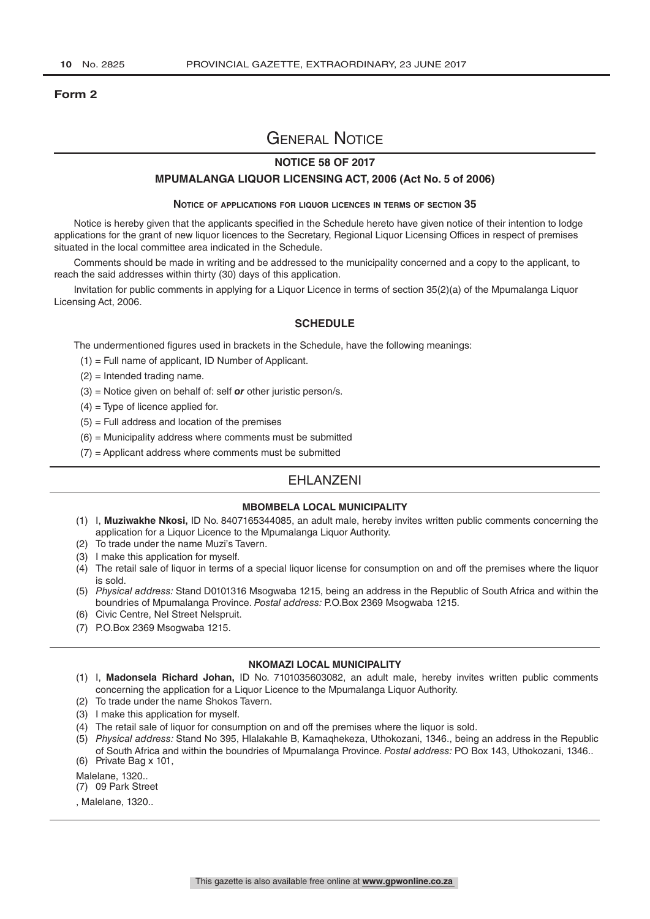#### **Form 2**

# General Notice

#### **NOTICE 58 OF 2017**

#### **MPUMALANGA LIQUOR LICENSING ACT, 2006 (Act No. 5 of 2006)**

#### **Notice of applications for liquor licences in terms of section 35**

Notice is hereby given that the applicants specified in the Schedule hereto have given notice of their intention to lodge applications for the grant of new liquor licences to the Secretary, Regional Liquor Licensing Offices in respect of premises situated in the local committee area indicated in the Schedule.

Comments should be made in writing and be addressed to the municipality concerned and a copy to the applicant, to reach the said addresses within thirty (30) days of this application.

Invitation for public comments in applying for a Liquor Licence in terms of section 35(2)(a) of the Mpumalanga Liquor Licensing Act, 2006.

#### **SCHEDULE**

The undermentioned figures used in brackets in the Schedule, have the following meanings:

- (1) = Full name of applicant, ID Number of Applicant.
- (2) = Intended trading name.
- (3) = Notice given on behalf of: self *or* other juristic person/s.
- $(4)$  = Type of licence applied for.
- $(5)$  = Full address and location of the premises
- $(6)$  = Municipality address where comments must be submitted
- $(7)$  = Applicant address where comments must be submitted

# **FHI ANZENI**

#### **MBOMBELA LOCAL MUNICIPALITY**

- (1) I, **Muziwakhe Nkosi,** ID No. 8407165344085, an adult male, hereby invites written public comments concerning the application for a Liquor Licence to the Mpumalanga Liquor Authority.
- (2) To trade under the name Muzi's Tavern.
- (3) I make this application for myself.
- $(4)$  The retail sale of liquor in terms of a special liquor license for consumption on and off the premises where the liquor is sold.
- (5) *Physical address:* Stand D0101316 Msogwaba 1215, being an address in the Republic of South Africa and within the boundries of Mpumalanga Province. *Postal address:* P.O.Box 2369 Msogwaba 1215.
- (6) Civic Centre, Nel Street Nelspruit.
- (7) P.O.Box 2369 Msogwaba 1215.

#### **NKOMAZI LOCAL MUNICIPALITY**

- (1) I, **Madonsela Richard Johan,** ID No. 7101035603082, an adult male, hereby invites written public comments concerning the application for a Liquor Licence to the Mpumalanga Liquor Authority.
- (2) To trade under the name Shokos Tavern.
- (3) I make this application for myself.
- (4) The retail sale of liquor for consumption on and off the premises where the liquor is sold.
- (5) *Physical address:* Stand No 395, Hlalakahle B, Kamaqhekeza, Uthokozani, 1346., being an address in the Republic of South Africa and within the boundries of Mpumalanga Province. *Postal address:* PO Box 143, Uthokozani, 1346..
- (6) Private Bag x 101,

Malelane, 1320.. (7) 09 Park Street

, Malelane, 1320..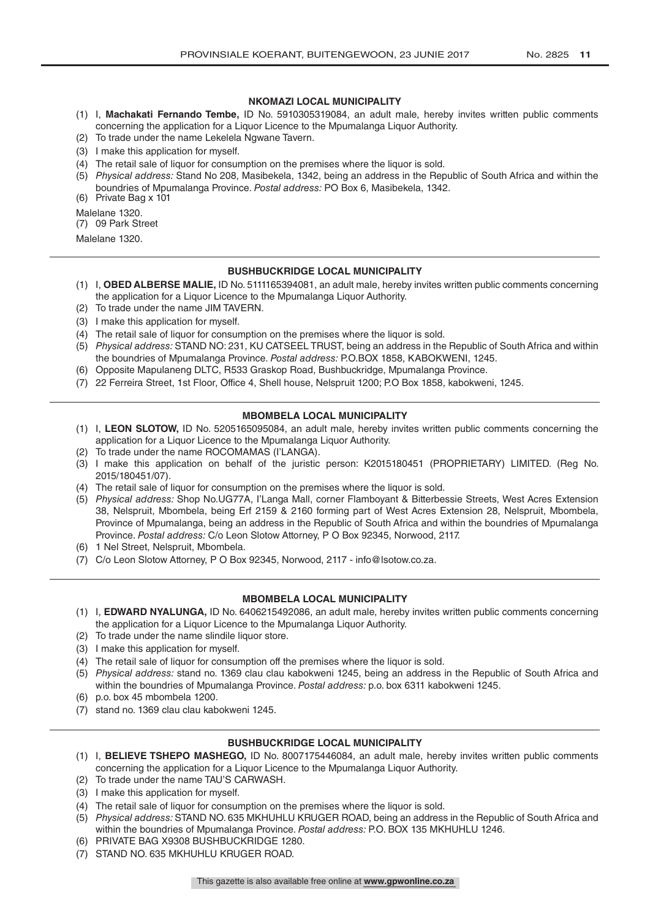#### **NKOMAZI LOCAL MUNICIPALITY**

- (1) I, **Machakati Fernando Tembe,** ID No. 5910305319084, an adult male, hereby invites written public comments concerning the application for a Liquor Licence to the Mpumalanga Liquor Authority.
- (2) To trade under the name Lekelela Ngwane Tavern.
- (3) I make this application for myself.
- (4) The retail sale of liquor for consumption on the premises where the liquor is sold.
- (5) *Physical address:* Stand No 208, Masibekela, 1342, being an address in the Republic of South Africa and within the boundries of Mpumalanga Province. *Postal address:* PO Box 6, Masibekela, 1342.

(6) Private Bag x 101

Malelane 1320.

(7) 09 Park Street

Malelane 1320.

#### **BUSHBUCKRIDGE LOCAL MUNICIPALITY**

- (1) I, **OBED ALBERSE MALIE,** ID No. 5111165394081, an adult male, hereby invites written public comments concerning the application for a Liquor Licence to the Mpumalanga Liquor Authority.
- (2) To trade under the name JIM TAVERN.
- (3) I make this application for myself.
- (4) The retail sale of liquor for consumption on the premises where the liquor is sold.
- (5) *Physical address:* STAND NO: 231, KU CATSEEL TRUST, being an address in the Republic of South Africa and within the boundries of Mpumalanga Province. *Postal address:* P.O.BOX 1858, KABOKWENI, 1245.
- (6) Opposite Mapulaneng DLTC, R533 Graskop Road, Bushbuckridge, Mpumalanga Province.
- (7) 22 Ferreira Street, 1st Floor, Office 4, Shell house, Nelspruit 1200; P.O Box 1858, kabokweni, 1245.

#### **MBOMBELA LOCAL MUNICIPALITY**

- (1) I, **LEON SLOTOW,** ID No. 5205165095084, an adult male, hereby invites written public comments concerning the application for a Liquor Licence to the Mpumalanga Liquor Authority.
- (2) To trade under the name ROCOMAMAS (I'LANGA).
- (3) I make this application on behalf of the juristic person: K2015180451 (PROPRIETARY) LIMITED. (Reg No. 2015/180451/07).
- (4) The retail sale of liquor for consumption on the premises where the liquor is sold.
- (5) *Physical address:* Shop No.UG77A, I'Langa Mall, corner Flamboyant & Bitterbessie Streets, West Acres Extension 38, Nelspruit, Mbombela, being Erf 2159 & 2160 forming part of West Acres Extension 28, Nelspruit, Mbombela, Province of Mpumalanga, being an address in the Republic of South Africa and within the boundries of Mpumalanga Province. *Postal address:* C/o Leon Slotow Attorney, P O Box 92345, Norwood, 2117.
- (6) 1 Nel Street, Nelspruit, Mbombela.
- (7) C/o Leon Slotow Attorney, P O Box 92345, Norwood, 2117 info@lsotow.co.za.

#### **MBOMBELA LOCAL MUNICIPALITY**

- (1) I, **EDWARD NYALUNGA,** ID No. 6406215492086, an adult male, hereby invites written public comments concerning the application for a Liquor Licence to the Mpumalanga Liquor Authority.
- (2) To trade under the name slindile liquor store.
- (3) I make this application for myself.
- (4) The retail sale of liquor for consumption off the premises where the liquor is sold.
- (5) *Physical address:* stand no. 1369 clau clau kabokweni 1245, being an address in the Republic of South Africa and within the boundries of Mpumalanga Province. *Postal address:* p.o. box 6311 kabokweni 1245.
- (6) p.o. box 45 mbombela 1200.
- (7) stand no. 1369 clau clau kabokweni 1245.

#### **BUSHBUCKRIDGE LOCAL MUNICIPALITY**

- (1) I, **BELIEVE TSHEPO MASHEGO,** ID No. 8007175446084, an adult male, hereby invites written public comments concerning the application for a Liquor Licence to the Mpumalanga Liquor Authority.
- (2) To trade under the name TAU'S CARWASH.
- (3) I make this application for myself.
- (4) The retail sale of liquor for consumption on the premises where the liquor is sold.
- (5) *Physical address:* STAND NO. 635 MKHUHLU KRUGER ROAD, being an address in the Republic of South Africa and within the boundries of Mpumalanga Province. *Postal address:* P.O. BOX 135 MKHUHLU 1246.
- (6) PRIVATE BAG X9308 BUSHBUCKRIDGE 1280.
- (7) STAND NO. 635 MKHUHLU KRUGER ROAD.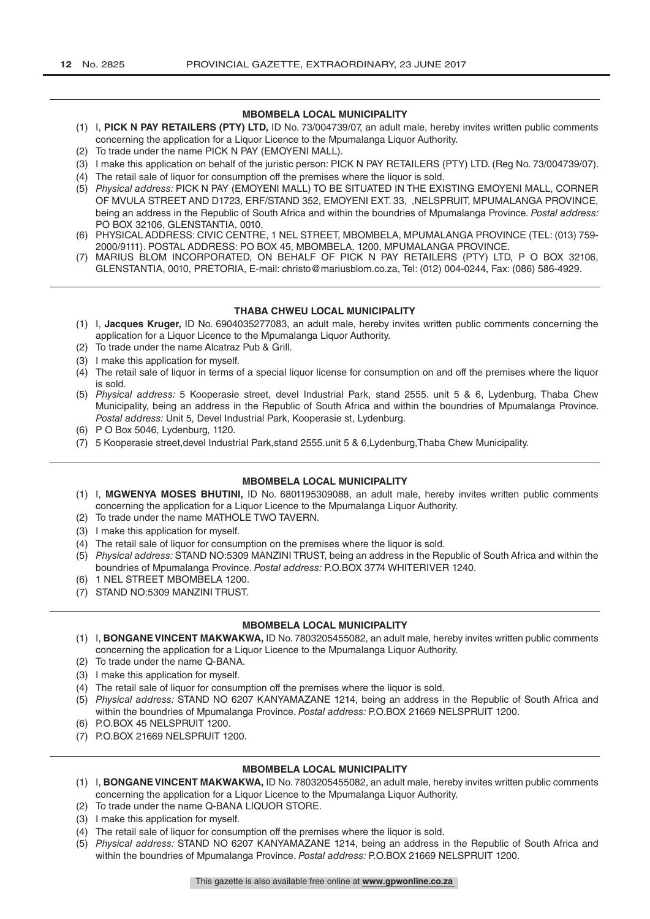#### **MBOMBELA LOCAL MUNICIPALITY**

- (1) I, **PICK N PAY RETAILERS (PTY) LTD,** ID No. 73/004739/07, an adult male, hereby invites written public comments concerning the application for a Liquor Licence to the Mpumalanga Liquor Authority.
- (2) To trade under the name PICK N PAY (EMOYENI MALL).
- (3) I make this application on behalf of the juristic person: PICK N PAY RETAILERS (PTY) LTD. (Reg No. 73/004739/07).
- (4) The retail sale of liquor for consumption off the premises where the liquor is sold.
- (5) *Physical address:* PICK N PAY (EMOYENI MALL) TO BE SITUATED IN THE EXISTING EMOYENI MALL, CORNER OF MVULA STREET AND D1723, ERF/STAND 352, EMOYENI EXT. 33, ,NELSPRUIT, MPUMALANGA PROVINCE, being an address in the Republic of South Africa and within the boundries of Mpumalanga Province. *Postal address:*  PO BOX 32106, GLENSTANTIA, 0010.
- (6) PHYSICAL ADDRESS: CIVIC CENTRE, 1 NEL STREET, MBOMBELA, MPUMALANGA PROVINCE (TEL: (013) 759- 2000/9111). POSTAL ADDRESS: PO BOX 45, MBOMBELA, 1200, MPUMALANGA PROVINCE.
- (7) MARIUS BLOM INCORPORATED, ON BEHALF OF PICK N PAY RETAILERS (PTY) LTD, P O BOX 32106, GLENSTANTIA, 0010, PRETORIA, E-mail: christo@mariusblom.co.za, Tel: (012) 004-0244, Fax: (086) 586-4929.

#### **THABA CHWEU LOCAL MUNICIPALITY**

- (1) I, **Jacques Kruger,** ID No. 6904035277083, an adult male, hereby invites written public comments concerning the application for a Liquor Licence to the Mpumalanga Liquor Authority.
- (2) To trade under the name Alcatraz Pub & Grill.
- (3) I make this application for myself.
- (4) The retail sale of liquor in terms of a special liquor license for consumption on and off the premises where the liquor is sold.
- (5) *Physical address:* 5 Kooperasie street, devel Industrial Park, stand 2555. unit 5 & 6, Lydenburg, Thaba Chew Municipality, being an address in the Republic of South Africa and within the boundries of Mpumalanga Province. *Postal address:* Unit 5, Devel Industrial Park, Kooperasie st, Lydenburg.
- (6) P O Box 5046, Lydenburg, 1120.
- (7) 5 Kooperasie street,devel Industrial Park,stand 2555.unit 5 & 6,Lydenburg,Thaba Chew Municipality.

#### **MBOMBELA LOCAL MUNICIPALITY**

- (1) I, **MGWENYA MOSES BHUTINI,** ID No. 6801195309088, an adult male, hereby invites written public comments concerning the application for a Liquor Licence to the Mpumalanga Liquor Authority.
- (2) To trade under the name MATHOLE TWO TAVERN.
- (3) I make this application for myself.
- (4) The retail sale of liquor for consumption on the premises where the liquor is sold.
- (5) *Physical address:* STAND NO:5309 MANZINI TRUST, being an address in the Republic of South Africa and within the boundries of Mpumalanga Province. *Postal address:* P.O.BOX 3774 WHITERIVER 1240.
- (6) 1 NEL STREET MBOMBELA 1200.
- (7) STAND NO:5309 MANZINI TRUST.

#### **MBOMBELA LOCAL MUNICIPALITY**

- (1) I, **BONGANE VINCENT MAKWAKWA,** ID No. 7803205455082, an adult male, hereby invites written public comments concerning the application for a Liquor Licence to the Mpumalanga Liquor Authority.
- (2) To trade under the name Q-BANA.
- (3) I make this application for myself.
- (4) The retail sale of liquor for consumption off the premises where the liquor is sold.
- (5) *Physical address:* STAND NO 6207 KANYAMAZANE 1214, being an address in the Republic of South Africa and within the boundries of Mpumalanga Province. *Postal address:* P.O.BOX 21669 NELSPRUIT 1200.
- (6) P.O.BOX 45 NELSPRUIT 1200.
- (7) P.O.BOX 21669 NELSPRUIT 1200.

#### **MBOMBELA LOCAL MUNICIPALITY**

- (1) I, **BONGANE VINCENT MAKWAKWA,** ID No. 7803205455082, an adult male, hereby invites written public comments concerning the application for a Liquor Licence to the Mpumalanga Liquor Authority.
- (2) To trade under the name Q-BANA LIQUOR STORE.
- (3) I make this application for myself.
- (4) The retail sale of liquor for consumption off the premises where the liquor is sold.
- (5) *Physical address:* STAND NO 6207 KANYAMAZANE 1214, being an address in the Republic of South Africa and within the boundries of Mpumalanga Province. *Postal address:* P.O.BOX 21669 NELSPRUIT 1200.

This gazette is also available free online at **www.gpwonline.co.za**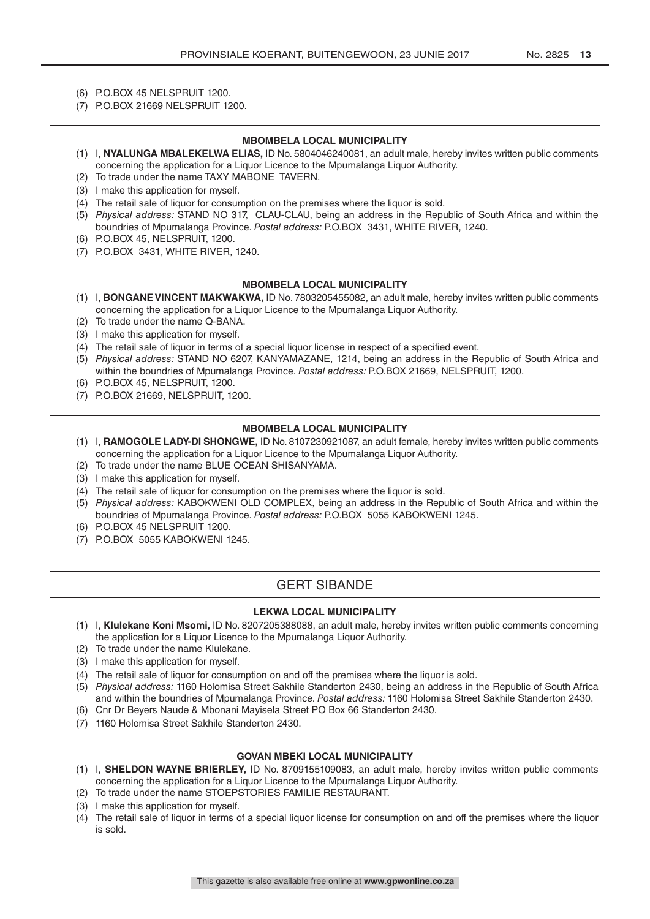- (6) P.O.BOX 45 NELSPRUIT 1200.
- (7) P.O.BOX 21669 NELSPRUIT 1200.

#### **MBOMBELA LOCAL MUNICIPALITY**

- (1) I, **NYALUNGA MBALEKELWA ELIAS,** ID No. 5804046240081, an adult male, hereby invites written public comments concerning the application for a Liquor Licence to the Mpumalanga Liquor Authority.
- (2) To trade under the name TAXY MABONE TAVERN.
- (3) I make this application for myself.
- (4) The retail sale of liquor for consumption on the premises where the liquor is sold.
- (5) *Physical address:* STAND NO 317, CLAU-CLAU, being an address in the Republic of South Africa and within the boundries of Mpumalanga Province. *Postal address:* P.O.BOX 3431, WHITE RIVER, 1240.
- (6) P.O.BOX 45, NELSPRUIT, 1200.
- (7) P.O.BOX 3431, WHITE RIVER, 1240.

#### **MBOMBELA LOCAL MUNICIPALITY**

- (1) I, **BONGANE VINCENT MAKWAKWA,** ID No. 7803205455082, an adult male, hereby invites written public comments concerning the application for a Liquor Licence to the Mpumalanga Liquor Authority.
- (2) To trade under the name Q-BANA.
- (3) I make this application for myself.
- (4) The retail sale of liquor in terms of a special liquor license in respect of a specified event.
- (5) *Physical address:* STAND NO 6207, KANYAMAZANE, 1214, being an address in the Republic of South Africa and within the boundries of Mpumalanga Province. *Postal address:* P.O.BOX 21669, NELSPRUIT, 1200.
- (6) P.O.BOX 45, NELSPRUIT, 1200.
- (7) P.O.BOX 21669, NELSPRUIT, 1200.

#### **MBOMBELA LOCAL MUNICIPALITY**

- (1) I, **RAMOGOLE LADY-DI SHONGWE,** ID No. 8107230921087, an adult female, hereby invites written public comments concerning the application for a Liquor Licence to the Mpumalanga Liquor Authority.
- (2) To trade under the name BLUE OCEAN SHISANYAMA.
- (3) I make this application for myself.
- (4) The retail sale of liquor for consumption on the premises where the liquor is sold.
- (5) *Physical address:* KABOKWENI OLD COMPLEX, being an address in the Republic of South Africa and within the boundries of Mpumalanga Province. *Postal address:* P.O.BOX 5055 KABOKWENI 1245.
- (6) P.O.BOX 45 NELSPRUIT 1200.
- (7) P.O.BOX 5055 KABOKWENI 1245.

# GERT SIBANDE

#### **LEKWA LOCAL MUNICIPALITY**

- (1) I, **Klulekane Koni Msomi,** ID No. 8207205388088, an adult male, hereby invites written public comments concerning the application for a Liquor Licence to the Mpumalanga Liquor Authority.
- (2) To trade under the name Klulekane.
- (3) I make this application for myself.
- (4) The retail sale of liquor for consumption on and off the premises where the liquor is sold.
- (5) *Physical address:* 1160 Holomisa Street Sakhile Standerton 2430, being an address in the Republic of South Africa and within the boundries of Mpumalanga Province. *Postal address:* 1160 Holomisa Street Sakhile Standerton 2430.
- (6) Cnr Dr Beyers Naude & Mbonani Mayisela Street PO Box 66 Standerton 2430.
- (7) 1160 Holomisa Street Sakhile Standerton 2430.

#### **GOVAN MBEKI LOCAL MUNICIPALITY**

- (1) I, **SHELDON WAYNE BRIERLEY,** ID No. 8709155109083, an adult male, hereby invites written public comments concerning the application for a Liquor Licence to the Mpumalanga Liquor Authority.
- (2) To trade under the name STOEPSTORIES FAMILIE RESTAURANT.
- (3) I make this application for myself.
- (4) The retail sale of liquor in terms of a special liquor license for consumption on and off the premises where the liquor is sold.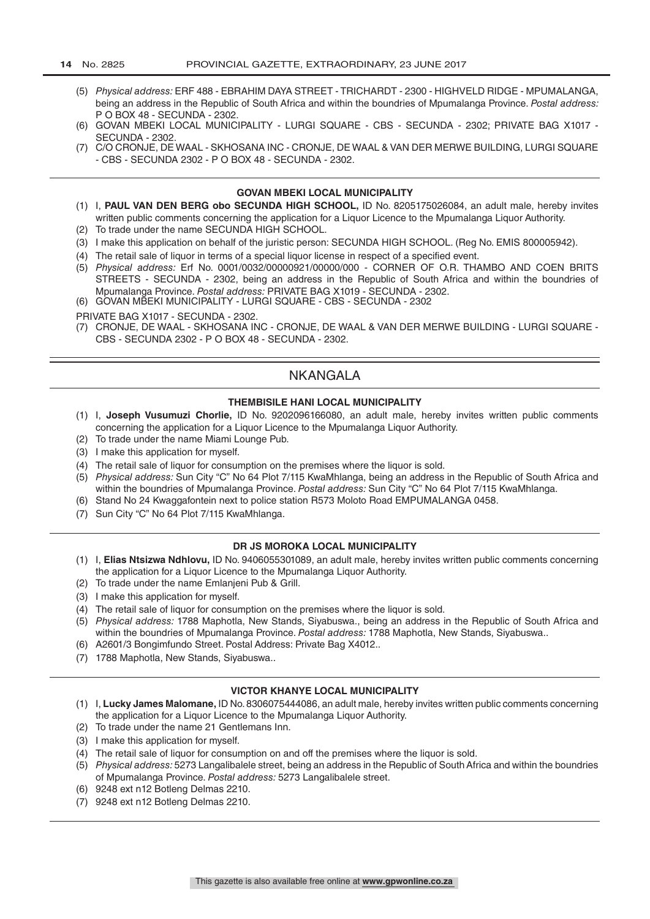- (5) *Physical address:* ERF 488 EBRAHIM DAYA STREET TRICHARDT 2300 HIGHVELD RIDGE MPUMALANGA, being an address in the Republic of South Africa and within the boundries of Mpumalanga Province. *Postal address:*  P O BOX 48 - SECUNDA - 2302.
- (6) GOVAN MBEKI LOCAL MUNICIPALITY LURGI SQUARE CBS SECUNDA 2302; PRIVATE BAG X1017 SECUNDA - 2302.
- (7) C/O CRONJE, DE WAAL SKHOSANA INC CRONJE, DE WAAL & VAN DER MERWE BUILDING, LURGI SQUARE - CBS - SECUNDA 2302 - P O BOX 48 - SECUNDA - 2302.

#### **GOVAN MBEKI LOCAL MUNICIPALITY**

- (1) I, **PAUL VAN DEN BERG obo SECUNDA HIGH SCHOOL,** ID No. 8205175026084, an adult male, hereby invites written public comments concerning the application for a Liquor Licence to the Mpumalanga Liquor Authority.
- (2) To trade under the name SECUNDA HIGH SCHOOL.
- (3) I make this application on behalf of the juristic person: SECUNDA HIGH SCHOOL. (Reg No. EMIS 800005942).
- (4) The retail sale of liquor in terms of a special liquor license in respect of a specified event.
- (5) *Physical address:* Erf No. 0001/0032/00000921/00000/000 CORNER OF O.R. THAMBO AND COEN BRITS STREETS - SECUNDA - 2302, being an address in the Republic of South Africa and within the boundries of Mpumalanga Province. *Postal address:* PRIVATE BAG X1019 - SECUNDA - 2302.
- (6) GOVAN MBEKI MUNICIPALITY LURGI SQUARE CBS SECUNDA 2302

PRIVATE BAG X1017 - SECUNDA - 2302.

(7) CRONJE, DE WAAL - SKHOSANA INC - CRONJE, DE WAAL & VAN DER MERWE BUILDING - LURGI SQUARE - CBS - SECUNDA 2302 - P O BOX 48 - SECUNDA - 2302.

# **NKANGALA**

#### **THEMBISILE HANI LOCAL MUNICIPALITY**

- (1) I, **Joseph Vusumuzi Chorlie,** ID No. 9202096166080, an adult male, hereby invites written public comments concerning the application for a Liquor Licence to the Mpumalanga Liquor Authority.
- (2) To trade under the name Miami Lounge Pub.
- (3) I make this application for myself.
- (4) The retail sale of liquor for consumption on the premises where the liquor is sold.
- (5) *Physical address:* Sun City "C" No 64 Plot 7/115 KwaMhlanga, being an address in the Republic of South Africa and within the boundries of Mpumalanga Province. *Postal address:* Sun City "C" No 64 Plot 7/115 KwaMhlanga.
- (6) Stand No 24 Kwaggafontein next to police station R573 Moloto Road EMPUMALANGA 0458.
- (7) Sun City "C" No 64 Plot 7/115 KwaMhlanga.

#### **DR JS MOROKA LOCAL MUNICIPALITY**

- (1) I, **Elias Ntsizwa Ndhlovu,** ID No. 9406055301089, an adult male, hereby invites written public comments concerning the application for a Liquor Licence to the Mpumalanga Liquor Authority.
- (2) To trade under the name Emlanjeni Pub & Grill.
- (3) I make this application for myself.
- (4) The retail sale of liquor for consumption on the premises where the liquor is sold.
- (5) *Physical address:* 1788 Maphotla, New Stands, Siyabuswa., being an address in the Republic of South Africa and within the boundries of Mpumalanga Province. *Postal address:* 1788 Maphotla, New Stands, Siyabuswa..
- (6) A2601/3 Bongimfundo Street. Postal Address: Private Bag X4012..
- (7) 1788 Maphotla, New Stands, Siyabuswa..

#### **VICTOR KHANYE LOCAL MUNICIPALITY**

- (1) I, **Lucky James Malomane,** ID No. 8306075444086, an adult male, hereby invites written public comments concerning the application for a Liquor Licence to the Mpumalanga Liquor Authority.
- (2) To trade under the name 21 Gentlemans Inn.
- (3) I make this application for myself.
- (4) The retail sale of liquor for consumption on and off the premises where the liquor is sold.
- (5) *Physical address:* 5273 Langalibalele street, being an address in the Republic of South Africa and within the boundries of Mpumalanga Province. *Postal address:* 5273 Langalibalele street.
- (6) 9248 ext n12 Botleng Delmas 2210.
- (7) 9248 ext n12 Botleng Delmas 2210.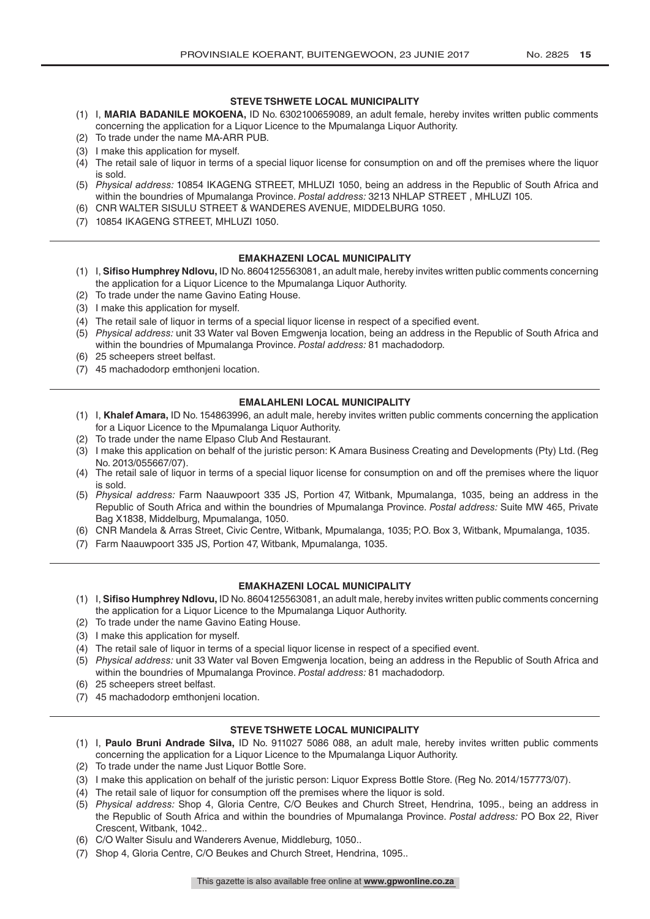#### **STEVE TSHWETE LOCAL MUNICIPALITY**

- (1) I, **MARIA BADANILE MOKOENA,** ID No. 6302100659089, an adult female, hereby invites written public comments concerning the application for a Liquor Licence to the Mpumalanga Liquor Authority.
- (2) To trade under the name MA-ARR PUB.
- (3) I make this application for myself.
- (4) The retail sale of liquor in terms of a special liquor license for consumption on and off the premises where the liquor is sold.
- (5) *Physical address:* 10854 IKAGENG STREET, MHLUZI 1050, being an address in the Republic of South Africa and within the boundries of Mpumalanga Province. *Postal address:* 3213 NHLAP STREET , MHLUZI 105.
- (6) CNR WALTER SISULU STREET & WANDERES AVENUE, MIDDELBURG 1050.
- (7) 10854 IKAGENG STREET, MHLUZI 1050.

#### **EMAKHAZENI LOCAL MUNICIPALITY**

- (1) I, **Sifiso Humphrey Ndlovu,** ID No. 8604125563081, an adult male, hereby invites written public comments concerning the application for a Liquor Licence to the Mpumalanga Liquor Authority.
- (2) To trade under the name Gavino Eating House.
- (3) I make this application for myself.
- (4) The retail sale of liquor in terms of a special liquor license in respect of a specified event.
- (5) *Physical address:* unit 33 Water val Boven Emgwenja location, being an address in the Republic of South Africa and within the boundries of Mpumalanga Province. *Postal address:* 81 machadodorp.
- (6) 25 scheepers street belfast.
- (7) 45 machadodorp emthonjeni location.

#### **EMALAHLENI LOCAL MUNICIPALITY**

- (1) I, **Khalef Amara,** ID No. 154863996, an adult male, hereby invites written public comments concerning the application for a Liquor Licence to the Mpumalanga Liquor Authority.
- (2) To trade under the name Elpaso Club And Restaurant.
- (3) I make this application on behalf of the juristic person: K Amara Business Creating and Developments (Pty) Ltd. (Reg No. 2013/055667/07).
- (4) The retail sale of liquor in terms of a special liquor license for consumption on and off the premises where the liquor is sold.
- (5) *Physical address:* Farm Naauwpoort 335 JS, Portion 47, Witbank, Mpumalanga, 1035, being an address in the Republic of South Africa and within the boundries of Mpumalanga Province. *Postal address:* Suite MW 465, Private Bag X1838, Middelburg, Mpumalanga, 1050.
- (6) CNR Mandela & Arras Street, Civic Centre, Witbank, Mpumalanga, 1035; P.O. Box 3, Witbank, Mpumalanga, 1035.
- (7) Farm Naauwpoort 335 JS, Portion 47, Witbank, Mpumalanga, 1035.

#### **EMAKHAZENI LOCAL MUNICIPALITY**

- (1) I, **Sifiso Humphrey Ndlovu,** ID No. 8604125563081, an adult male, hereby invites written public comments concerning the application for a Liquor Licence to the Mpumalanga Liquor Authority.
- (2) To trade under the name Gavino Eating House.
- (3) I make this application for myself.
- (4) The retail sale of liquor in terms of a special liquor license in respect of a specified event.
- (5) *Physical address:* unit 33 Water val Boven Emgwenja location, being an address in the Republic of South Africa and within the boundries of Mpumalanga Province. *Postal address:* 81 machadodorp.
- (6) 25 scheepers street belfast.
- (7) 45 machadodorp emthonjeni location.

#### **STEVE TSHWETE LOCAL MUNICIPALITY**

- (1) I, **Paulo Bruni Andrade Silva,** ID No. 911027 5086 088, an adult male, hereby invites written public comments concerning the application for a Liquor Licence to the Mpumalanga Liquor Authority.
- (2) To trade under the name Just Liquor Bottle Sore.
- (3) I make this application on behalf of the juristic person: Liquor Express Bottle Store. (Reg No. 2014/157773/07).
- (4) The retail sale of liquor for consumption off the premises where the liquor is sold.
- (5) *Physical address:* Shop 4, Gloria Centre, C/O Beukes and Church Street, Hendrina, 1095., being an address in the Republic of South Africa and within the boundries of Mpumalanga Province. *Postal address:* PO Box 22, River Crescent, Witbank, 1042..
- (6) C/O Walter Sisulu and Wanderers Avenue, Middleburg, 1050..
- (7) Shop 4, Gloria Centre, C/O Beukes and Church Street, Hendrina, 1095..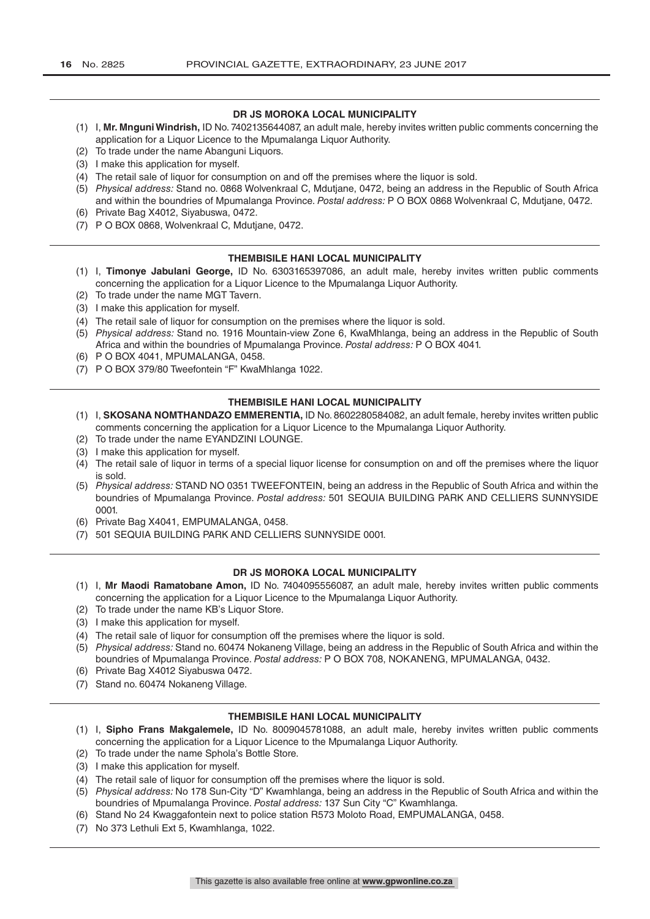#### **DR JS MOROKA LOCAL MUNICIPALITY**

- (1) I, **Mr. Mnguni Windrish,** ID No. 7402135644087, an adult male, hereby invites written public comments concerning the application for a Liquor Licence to the Mpumalanga Liquor Authority.
- (2) To trade under the name Abanguni Liquors.
- (3) I make this application for myself.
- (4) The retail sale of liquor for consumption on and off the premises where the liquor is sold.
- (5) *Physical address:* Stand no. 0868 Wolvenkraal C, Mdutjane, 0472, being an address in the Republic of South Africa and within the boundries of Mpumalanga Province. *Postal address:* P O BOX 0868 Wolvenkraal C, Mdutjane, 0472.
- (6) Private Bag X4012, Siyabuswa, 0472.
- (7) P O BOX 0868, Wolvenkraal C, Mdutjane, 0472.

#### **THEMBISILE HANI LOCAL MUNICIPALITY**

- (1) I, **Timonye Jabulani George,** ID No. 6303165397086, an adult male, hereby invites written public comments concerning the application for a Liquor Licence to the Mpumalanga Liquor Authority.
- (2) To trade under the name MGT Tavern.
- (3) I make this application for myself.
- (4) The retail sale of liquor for consumption on the premises where the liquor is sold.
- (5) *Physical address:* Stand no. 1916 Mountain-view Zone 6, KwaMhlanga, being an address in the Republic of South Africa and within the boundries of Mpumalanga Province. *Postal address:* P O BOX 4041.
- (6) P O BOX 4041, MPUMALANGA, 0458.
- (7) P O BOX 379/80 Tweefontein "F" KwaMhlanga 1022.

### **THEMBISILE HANI LOCAL MUNICIPALITY**

- (1) I, **SKOSANA NOMTHANDAZO EMMERENTIA,** ID No. 8602280584082, an adult female, hereby invites written public comments concerning the application for a Liquor Licence to the Mpumalanga Liquor Authority.
- (2) To trade under the name EYANDZINI LOUNGE.
- (3) I make this application for myself.
- (4) The retail sale of liquor in terms of a special liquor license for consumption on and off the premises where the liquor is sold.
- (5) *Physical address:* STAND NO 0351 TWEEFONTEIN, being an address in the Republic of South Africa and within the boundries of Mpumalanga Province. *Postal address:* 501 SEQUIA BUILDING PARK AND CELLIERS SUNNYSIDE 0001.
- (6) Private Bag X4041, EMPUMALANGA, 0458.
- (7) 501 SEQUIA BUILDING PARK AND CELLIERS SUNNYSIDE 0001.

#### **DR JS MOROKA LOCAL MUNICIPALITY**

- (1) I, **Mr Maodi Ramatobane Amon,** ID No. 7404095556087, an adult male, hereby invites written public comments concerning the application for a Liquor Licence to the Mpumalanga Liquor Authority.
- (2) To trade under the name KB's Liquor Store.
- (3) I make this application for myself.
- (4) The retail sale of liquor for consumption off the premises where the liquor is sold.
- (5) *Physical address:* Stand no. 60474 Nokaneng Village, being an address in the Republic of South Africa and within the boundries of Mpumalanga Province. *Postal address:* P O BOX 708, NOKANENG, MPUMALANGA, 0432.
- (6) Private Bag X4012 Siyabuswa 0472.
- (7) Stand no. 60474 Nokaneng Village.

#### **THEMBISILE HANI LOCAL MUNICIPALITY**

- (1) I, **Sipho Frans Makgalemele,** ID No. 8009045781088, an adult male, hereby invites written public comments concerning the application for a Liquor Licence to the Mpumalanga Liquor Authority.
- (2) To trade under the name Sphola's Bottle Store.
- (3) I make this application for myself.
- (4) The retail sale of liquor for consumption off the premises where the liquor is sold.
- (5) *Physical address:* No 178 Sun-City "D" Kwamhlanga, being an address in the Republic of South Africa and within the boundries of Mpumalanga Province. *Postal address:* 137 Sun City "C" Kwamhlanga.
- (6) Stand No 24 Kwaggafontein next to police station R573 Moloto Road, EMPUMALANGA, 0458.
- (7) No 373 Lethuli Ext 5, Kwamhlanga, 1022.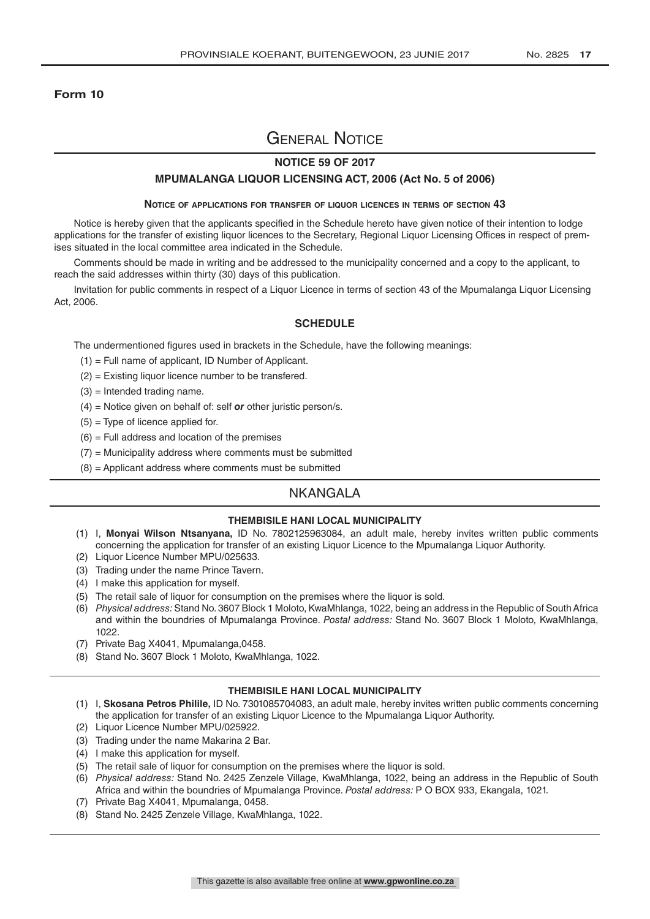#### **Form 10**

# General Notice

### **NOTICE 59 OF 2017**

#### **MPUMALANGA LIQUOR LICENSING ACT, 2006 (Act No. 5 of 2006)**

#### **Notice of applications for transfer of liquor licences in terms of section 43**

Notice is hereby given that the applicants specified in the Schedule hereto have given notice of their intention to lodge applications for the transfer of existing liquor licences to the Secretary, Regional Liquor Licensing Offices in respect of premises situated in the local committee area indicated in the Schedule.

Comments should be made in writing and be addressed to the municipality concerned and a copy to the applicant, to reach the said addresses within thirty (30) days of this publication.

Invitation for public comments in respect of a Liquor Licence in terms of section 43 of the Mpumalanga Liquor Licensing Act, 2006.

#### **SCHEDULE**

The undermentioned figures used in brackets in the Schedule, have the following meanings:

- (1) = Full name of applicant, ID Number of Applicant.
- (2) = Existing liquor licence number to be transfered.
- $(3)$  = Intended trading name.
- (4) = Notice given on behalf of: self *or* other juristic person/s.
- $(5)$  = Type of licence applied for.
- $(6)$  = Full address and location of the premises
- $(7)$  = Municipality address where comments must be submitted
- $(8)$  = Applicant address where comments must be submitted

# NKANGALA

#### **THEMBISILE HANI LOCAL MUNICIPALITY**

- (1) I, **Monyai Wilson Ntsanyana,** ID No. 7802125963084, an adult male, hereby invites written public comments concerning the application for transfer of an existing Liquor Licence to the Mpumalanga Liquor Authority.
- (2) Liquor Licence Number MPU/025633.
- (3) Trading under the name Prince Tavern.
- (4) I make this application for myself.
- (5) The retail sale of liquor for consumption on the premises where the liquor is sold.
- (6) *Physical address:* Stand No. 3607 Block 1 Moloto, KwaMhlanga, 1022, being an address in the Republic of South Africa and within the boundries of Mpumalanga Province. *Postal address:* Stand No. 3607 Block 1 Moloto, KwaMhlanga, 1022.
- (7) Private Bag X4041, Mpumalanga,0458.
- (8) Stand No. 3607 Block 1 Moloto, KwaMhlanga, 1022.

#### **THEMBISILE HANI LOCAL MUNICIPALITY**

- (1) I, **Skosana Petros Philile,** ID No. 7301085704083, an adult male, hereby invites written public comments concerning the application for transfer of an existing Liquor Licence to the Mpumalanga Liquor Authority.
- (2) Liquor Licence Number MPU/025922.
- (3) Trading under the name Makarina 2 Bar.
- (4) I make this application for myself.
- (5) The retail sale of liquor for consumption on the premises where the liquor is sold.
- (6) *Physical address:* Stand No. 2425 Zenzele Village, KwaMhlanga, 1022, being an address in the Republic of South Africa and within the boundries of Mpumalanga Province. *Postal address:* P O BOX 933, Ekangala, 1021.
- (7) Private Bag X4041, Mpumalanga, 0458.
- (8) Stand No. 2425 Zenzele Village, KwaMhlanga, 1022.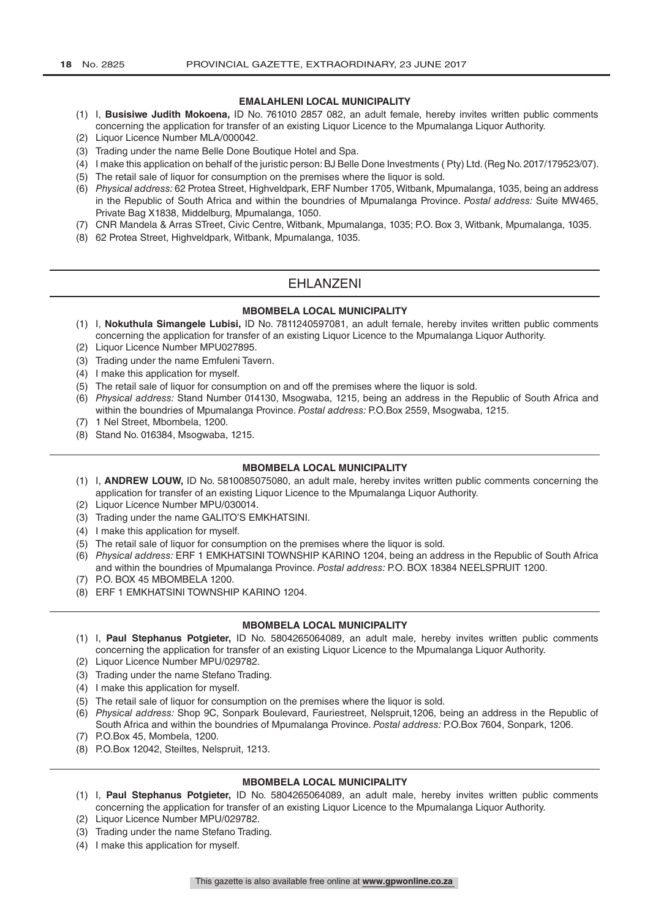#### **EMALAHLENI LOCAL MUNICIPALITY**

- (1) I, **Busisiwe Judith Mokoena,** ID No. 761010 2857 082, an adult female, hereby invites written public comments concerning the application for transfer of an existing Liquor Licence to the Mpumalanga Liquor Authority.
- (2) Liquor Licence Number MLA/000042.
- (3) Trading under the name Belle Done Boutique Hotel and Spa.
- (4) I make this application on behalf of the juristic person: BJ Belle Done Investments ( Pty) Ltd. (Reg No. 2017/179523/07).
- (5) The retail sale of liquor for consumption on the premises where the liquor is sold.
- (6) *Physical address:* 62 Protea Street, Highveldpark, ERF Number 1705, Witbank, Mpumalanga, 1035, being an address in the Republic of South Africa and within the boundries of Mpumalanga Province. *Postal address:* Suite MW465, Private Bag X1838, Middelburg, Mpumalanga, 1050.
- (7) CNR Mandela & Arras STreet, Civic Centre, Witbank, Mpumalanga, 1035; P.O. Box 3, Witbank, Mpumalanga, 1035.
- (8) 62 Protea Street, Highveldpark, Witbank, Mpumalanga, 1035.

# EHLANZENI

#### **MBOMBELA LOCAL MUNICIPALITY**

- (1) I, **Nokuthula Simangele Lubisi,** ID No. 7811240597081, an adult female, hereby invites written public comments concerning the application for transfer of an existing Liquor Licence to the Mpumalanga Liquor Authority.
- (2) Liquor Licence Number MPU027895.
- (3) Trading under the name Emfuleni Tavern.
- (4) I make this application for myself.
- (5) The retail sale of liquor for consumption on and off the premises where the liquor is sold.
- (6) *Physical address:* Stand Number 014130, Msogwaba, 1215, being an address in the Republic of South Africa and within the boundries of Mpumalanga Province. *Postal address:* P.O.Box 2559, Msogwaba, 1215.
- (7) 1 Nel Street, Mbombela, 1200.
- (8) Stand No. 016384, Msogwaba, 1215.

#### **MBOMBELA LOCAL MUNICIPALITY**

- (1) I, **ANDREW LOUW,** ID No. 5810085075080, an adult male, hereby invites written public comments concerning the application for transfer of an existing Liquor Licence to the Mpumalanga Liquor Authority.
- (2) Liquor Licence Number MPU/030014.
- (3) Trading under the name GALITO'S EMKHATSINI.
- (4) I make this application for myself.
- (5) The retail sale of liquor for consumption on the premises where the liquor is sold.
- (6) *Physical address:* ERF 1 EMKHATSINI TOWNSHIP KARINO 1204, being an address in the Republic of South Africa and within the boundries of Mpumalanga Province. *Postal address:* P.O. BOX 18384 NEELSPRUIT 1200.
- (7) P.O. BOX 45 MBOMBELA 1200.
- (8) ERF 1 EMKHATSINI TOWNSHIP KARINO 1204.

#### **MBOMBELA LOCAL MUNICIPALITY**

- (1) I, **Paul Stephanus Potgieter,** ID No. 5804265064089, an adult male, hereby invites written public comments concerning the application for transfer of an existing Liquor Licence to the Mpumalanga Liquor Authority.
- (2) Liquor Licence Number MPU/029782.
- (3) Trading under the name Stefano Trading.
- (4) I make this application for myself.
- (5) The retail sale of liquor for consumption on the premises where the liquor is sold.
- (6) *Physical address:* Shop 9C, Sonpark Boulevard, Fauriestreet, Nelspruit,1206, being an address in the Republic of South Africa and within the boundries of Mpumalanga Province. *Postal address:* P.O.Box 7604, Sonpark, 1206.
- (7) P.O.Box 45, Mombela, 1200.
- (8) P.O.Box 12042, Steiltes, Nelspruit, 1213.

#### **MBOMBELA LOCAL MUNICIPALITY**

- (1) I, **Paul Stephanus Potgieter,** ID No. 5804265064089, an adult male, hereby invites written public comments concerning the application for transfer of an existing Liquor Licence to the Mpumalanga Liquor Authority.
- (2) Liquor Licence Number MPU/029782.
- (3) Trading under the name Stefano Trading.
- (4) I make this application for myself.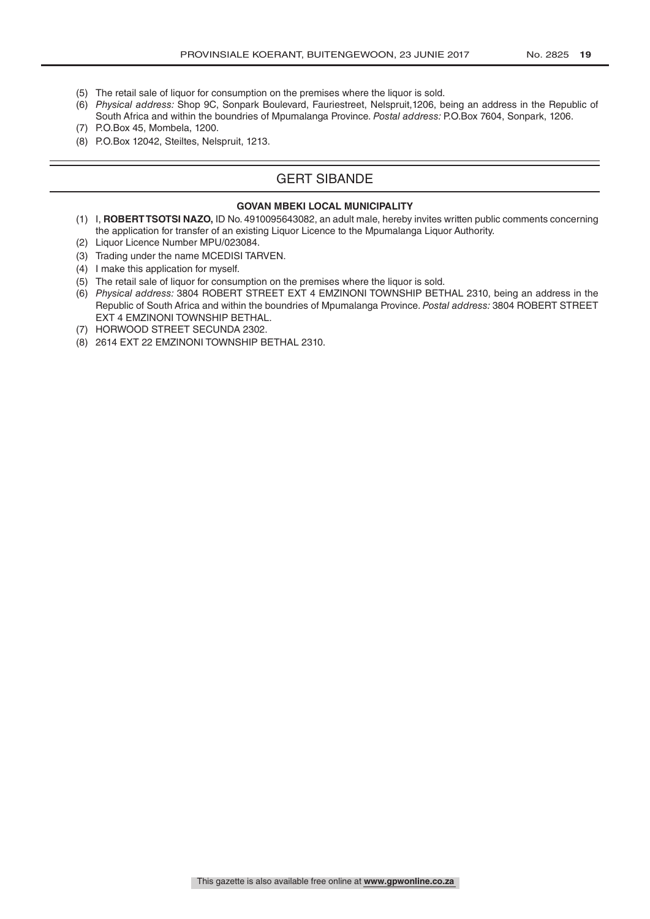- (5) The retail sale of liquor for consumption on the premises where the liquor is sold.
- (6) *Physical address:* Shop 9C, Sonpark Boulevard, Fauriestreet, Nelspruit,1206, being an address in the Republic of South Africa and within the boundries of Mpumalanga Province. *Postal address:* P.O.Box 7604, Sonpark, 1206.
- (7) P.O.Box 45, Mombela, 1200.
- (8) P.O.Box 12042, Steiltes, Nelspruit, 1213.

# GERT SIBANDE

#### **GOVAN MBEKI LOCAL MUNICIPALITY**

- (1) I, **ROBERT TSOTSI NAZO,** ID No. 4910095643082, an adult male, hereby invites written public comments concerning the application for transfer of an existing Liquor Licence to the Mpumalanga Liquor Authority.
- (2) Liquor Licence Number MPU/023084.
- (3) Trading under the name MCEDISI TARVEN.
- (4) I make this application for myself.
- (5) The retail sale of liquor for consumption on the premises where the liquor is sold.
- (6) *Physical address:* 3804 ROBERT STREET EXT 4 EMZINONI TOWNSHIP BETHAL 2310, being an address in the Republic of South Africa and within the boundries of Mpumalanga Province. *Postal address:* 3804 ROBERT STREET EXT 4 EMZINONI TOWNSHIP BETHAL.
- (7) HORWOOD STREET SECUNDA 2302.
- (8) 2614 EXT 22 EMZINONI TOWNSHIP BETHAL 2310.